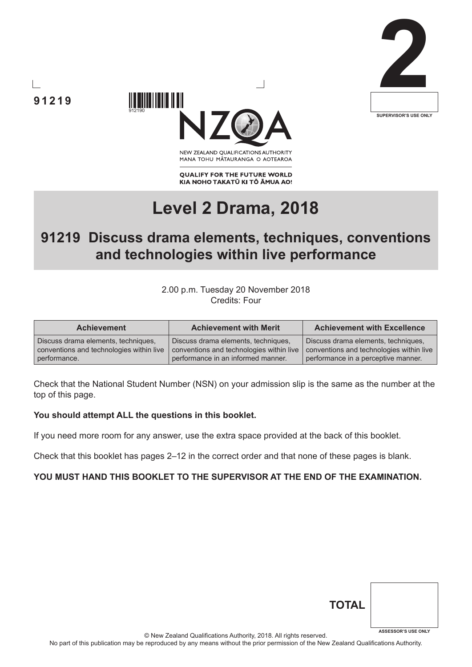



**91219**



NEW ZEALAND OUALIFICATIONS AUTHORITY MANA TOHU MATAURANGA O AOTEAROA

**QUALIFY FOR THE FUTURE WORLD** KIA NOHO TAKATŪ KI TŌ ĀMUA AO!

# **Level 2 Drama, 2018**

# **91219 Discuss drama elements, techniques, conventions and technologies within live performance**

#### 2.00 p.m. Tuesday 20 November 2018 Credits: Four

| <b>Achievement</b>                       | <b>Achievement with Merit</b>            | <b>Achievement with Excellence</b>       |
|------------------------------------------|------------------------------------------|------------------------------------------|
| Discuss drama elements, techniques,      | Discuss drama elements, techniques,      | Discuss drama elements, techniques,      |
| conventions and technologies within live | conventions and technologies within live | conventions and technologies within live |
| performance.                             | performance in an informed manner.       | performance in a perceptive manner.      |

Check that the National Student Number (NSN) on your admission slip is the same as the number at the top of this page.

#### **You should attempt ALL the questions in this booklet.**

If you need more room for any answer, use the extra space provided at the back of this booklet.

Check that this booklet has pages 2–12 in the correct order and that none of these pages is blank.

#### **YOU MUST HAND THIS BOOKLET TO THE SUPERVISOR AT THE END OF THE EXAMINATION.**

| <b>TOTAL</b> |                            |
|--------------|----------------------------|
|              | <b>ASSESSOR'S USE ONLY</b> |

© New Zealand Qualifications Authority, 2018. All rights reserved.

No part of this publication may be reproduced by any means without the prior permission of the New Zealand Qualifications Authority.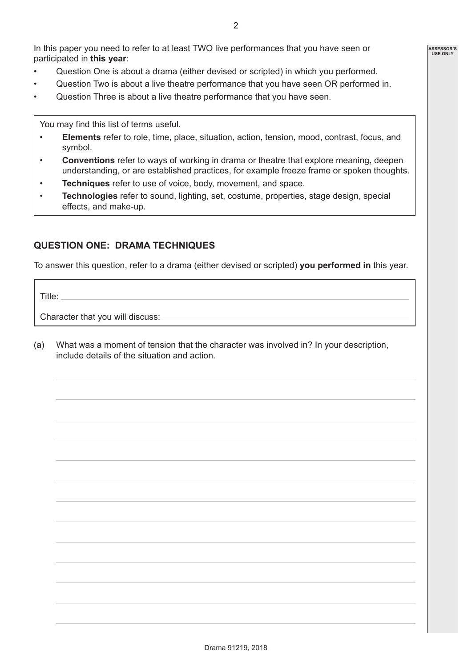**ASSESSOR'S USE ONLY**

In this paper you need to refer to at least TWO live performances that you have seen or participated in **this year**:

• Question One is about a drama (either devised or scripted) in which you performed.

- Question Two is about a live theatre performance that you have seen OR performed in.
- Question Three is about a live theatre performance that you have seen.

You may find this list of terms useful.

- **Elements** refer to role, time, place, situation, action, tension, mood, contrast, focus, and symbol.
- **Conventions** refer to ways of working in drama or theatre that explore meaning, deepen understanding, or are established practices, for example freeze frame or spoken thoughts.
- **Techniques** refer to use of voice, body, movement, and space.
- **Technologies** refer to sound, lighting, set, costume, properties, stage design, special effects, and make-up.

## **QUESTION ONE: DRAMA TECHNIQUES**

To answer this question, refer to a drama (either devised or scripted) **you performed in** this year.

Title:

Character that you will discuss:

(a) What was a moment of tension that the character was involved in? In your description, include details of the situation and action.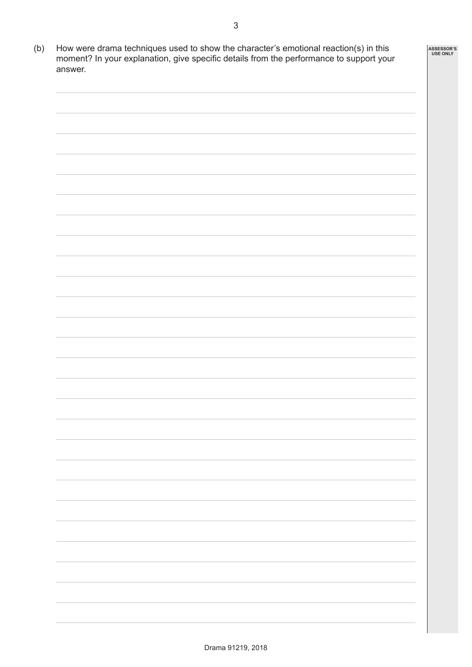| answer. |  |  |  |
|---------|--|--|--|
|         |  |  |  |
|         |  |  |  |
|         |  |  |  |
|         |  |  |  |
|         |  |  |  |
|         |  |  |  |
|         |  |  |  |
|         |  |  |  |
|         |  |  |  |
|         |  |  |  |
|         |  |  |  |
|         |  |  |  |
|         |  |  |  |
|         |  |  |  |
|         |  |  |  |
|         |  |  |  |
|         |  |  |  |
|         |  |  |  |
|         |  |  |  |
|         |  |  |  |
|         |  |  |  |
|         |  |  |  |
|         |  |  |  |
|         |  |  |  |
|         |  |  |  |
|         |  |  |  |
|         |  |  |  |
|         |  |  |  |
|         |  |  |  |

 $\overline{\phantom{a}}$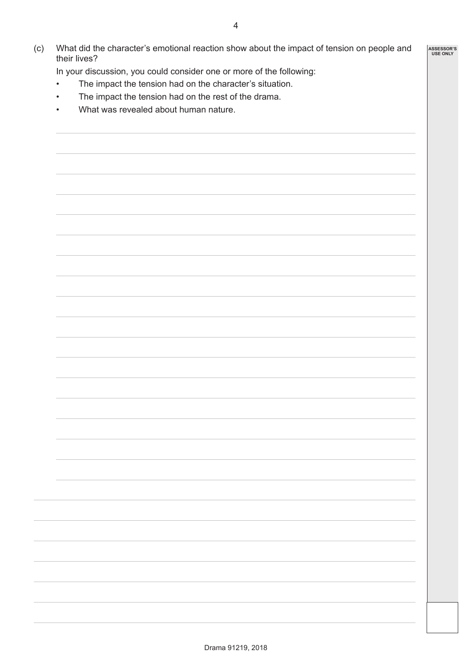(c) What did the character's emotional reaction show about the impact of tension on people and their lives? **ASSESSOR'S USE ONLY**

In your discussion, you could consider one or more of the following:

- The impact the tension had on the character's situation.
- The impact the tension had on the rest of the drama.
- What was revealed about human nature.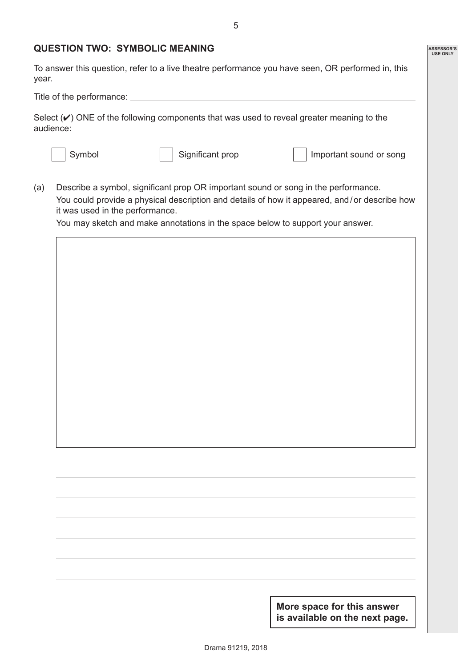#### **QUESTION TWO: SYMBOLIC MEANING**

To answer this question, refer to a live theatre performance you have seen, OR performed in, this year.

Title of the performance:

Select  $(V)$  ONE of the following components that was used to reveal greater meaning to the audience:

|  | vmbo |
|--|------|
|--|------|

ol and Indian I Significant prop I Supportant sound or song

**ASSESSOR'S USE ONLY**

(a) Describe a symbol, significant prop OR important sound or song in the performance. You could provide a physical description and details of how it appeared, and/or describe how it was used in the performance.

You may sketch and make annotations in the space below to support your answer.

**More space for this answer is available on the next page.**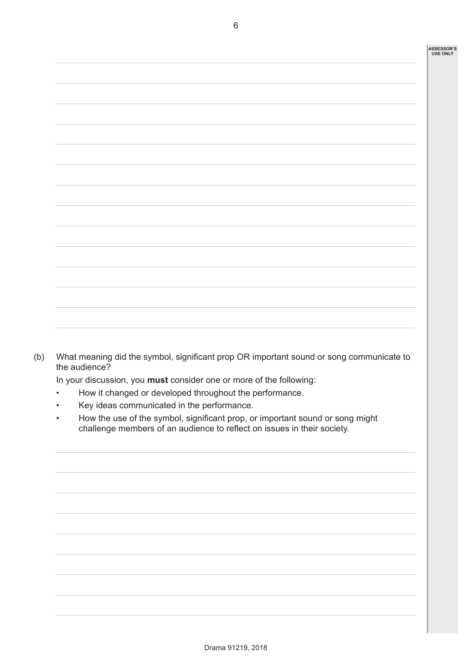(b) What meaning did the symbol, significant prop OR important sound or song communicate to the audience?

In your discussion, you **must** consider one or more of the following:

- How it changed or developed throughout the performance.
- Key ideas communicated in the performance.
- How the use of the symbol, significant prop, or important sound or song might challenge members of an audience to reflect on issues in their society.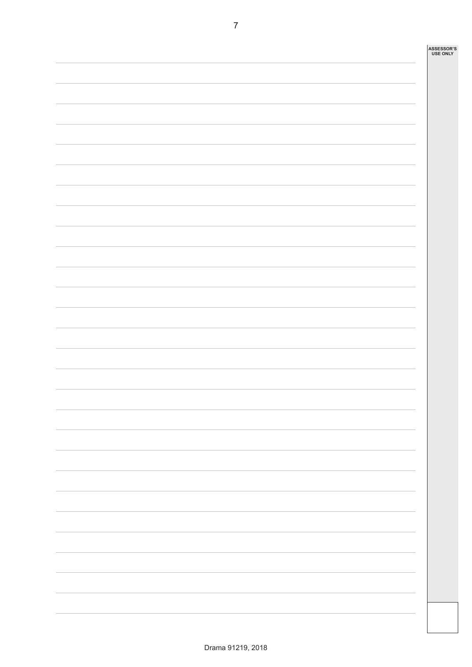| ASSESSOR'S<br>USE ONLY |
|------------------------|
|                        |
|                        |
|                        |
|                        |
|                        |
|                        |
|                        |
|                        |
|                        |
|                        |
|                        |
|                        |
|                        |
|                        |
|                        |
|                        |
|                        |
|                        |
|                        |
|                        |
|                        |
|                        |
|                        |
|                        |
|                        |

 $\overline{\phantom{a}}$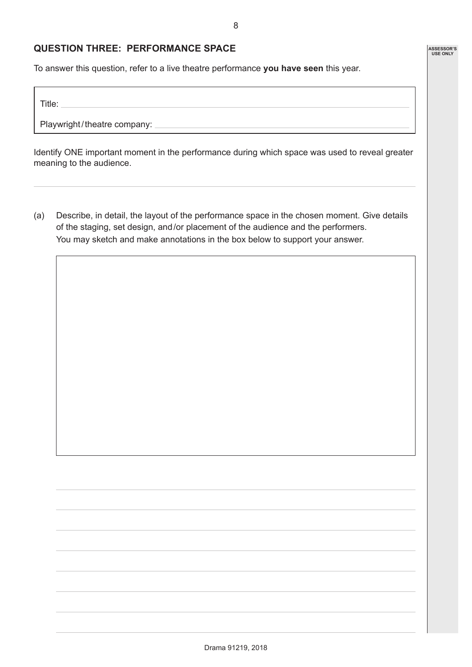**ASSESSOR'S USE ONLY**

### **QUESTION THREE: PERFORMANCE SPACE**

To answer this question, refer to a live theatre performance **you have seen** this year.

Title:

Playwright/theatre company: \_

Identify ONE important moment in the performance during which space was used to reveal greater meaning to the audience.

(a) Describe, in detail, the layout of the performance space in the chosen moment. Give details of the staging, set design, and /or placement of the audience and the performers. You may sketch and make annotations in the box below to support your answer.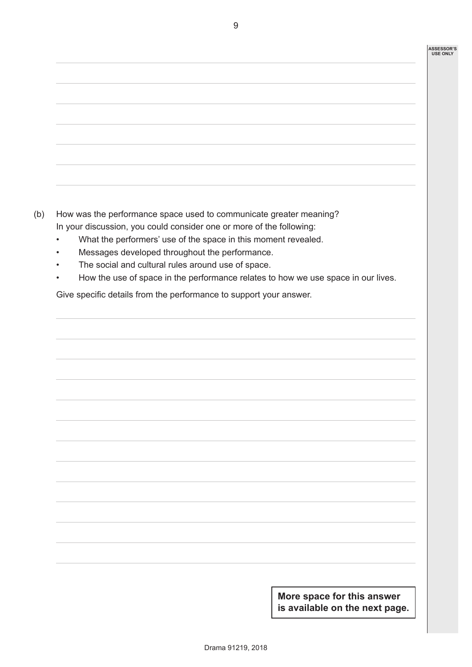| ,我们也不会有什么?""我们的人,我们也不会有什么?""我们的人,我们也不会有什么?""我们的人,我们也不会有什么?""我们的人,我们也不会有什么?""我们的人                                 |  |
|------------------------------------------------------------------------------------------------------------------|--|
|                                                                                                                  |  |
|                                                                                                                  |  |
| ,我们也不会有什么。""我们的人,我们也不会有什么?""我们的人,我们也不会有什么?""我们的人,我们也不会有什么?""我们的人,我们也不会有什么?""我们的人                                 |  |
|                                                                                                                  |  |
|                                                                                                                  |  |
|                                                                                                                  |  |
| and the control of the control of the control of the control of the control of the control of the control of the |  |

9

- (b) How was the performance space used to communicate greater meaning? In your discussion, you could consider one or more of the following:
	- What the performers' use of the space in this moment revealed.
	- Messages developed throughout the performance.
	- The social and cultural rules around use of space.
	- How the use of space in the performance relates to how we use space in our lives.

Give specific details from the performance to support your answer.

**More space for this answer is available on the next page.**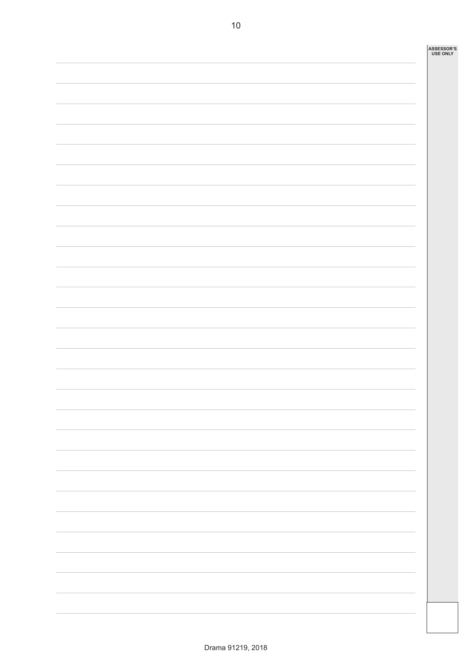| ASSESSOR'S<br>USE ONLY |
|------------------------|
|                        |
|                        |
|                        |
|                        |
|                        |
|                        |
|                        |
|                        |
|                        |
|                        |
|                        |
|                        |
|                        |
|                        |
|                        |
|                        |
|                        |
|                        |
|                        |
|                        |
|                        |
|                        |
|                        |
|                        |
|                        |
|                        |
|                        |
|                        |
|                        |
|                        |
|                        |
|                        |
|                        |
|                        |
|                        |
|                        |
|                        |
|                        |
|                        |
|                        |
|                        |
|                        |
|                        |
|                        |
|                        |
|                        |
|                        |
|                        |
|                        |